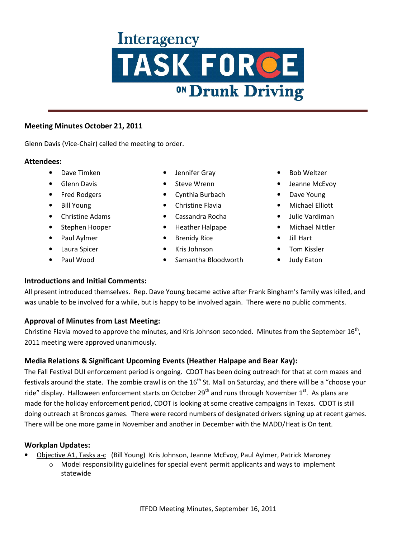### **Meeting Minutes October 21, 2011**

Glenn Davis (Vice-Chair) called the meeting to order.

### **Attendees:**

- Dave Timken
- Glenn Davis
- Fred Rodgers
- Bill Young
- Christine Adams
- Stephen Hooper
- Paul Aylmer
- Laura Spicer
- Paul Wood
- Jennifer Gray
- Steve Wrenn
- Cynthia Burbach
- Christine Flavia
- Cassandra Rocha
- Heather Halpape
- Brenidy Rice
- Kris Johnson
- Samantha Bloodworth
- Bob Weltzer
- Jeanne McEvoy
- Dave Young
- Michael Elliott
- Julie Vardiman
- Michael Nittler
- Jill Hart
- Tom Kissler
- Judy Eaton

## **Introductions and Initial Comments:**

All present introduced themselves. Rep. Dave Young became active after Frank Bingham's family was killed, and was unable to be involved for a while, but is happy to be involved again. There were no public comments.

## **Approval of Minutes from Last Meeting:**

Christine Flavia moved to approve the minutes, and Kris Johnson seconded. Minutes from the September  $16<sup>th</sup>$ , 2011 meeting were approved unanimously.

## **Media Relations & Significant Upcoming Events (Heather Halpape and Bear Kay):**

The Fall Festival DUI enforcement period is ongoing. CDOT has been doing outreach for that at corn mazes and festivals around the state. The zombie crawl is on the  $16<sup>th</sup>$  St. Mall on Saturday, and there will be a "choose your ride" display. Halloween enforcement starts on October 29<sup>th</sup> and runs through November 1<sup>st</sup>. As plans are made for the holiday enforcement period, CDOT is looking at some creative campaigns in Texas. CDOT is still doing outreach at Broncos games. There were record numbers of designated drivers signing up at recent games. There will be one more game in November and another in December with the MADD/Heat is On tent.

## **Workplan Updates:**

- Objective A1, Tasks a-c (Bill Young) Kris Johnson, Jeanne McEvoy, Paul Aylmer, Patrick Maroney
	- Model responsibility guidelines for special event permit applicants and ways to implement statewide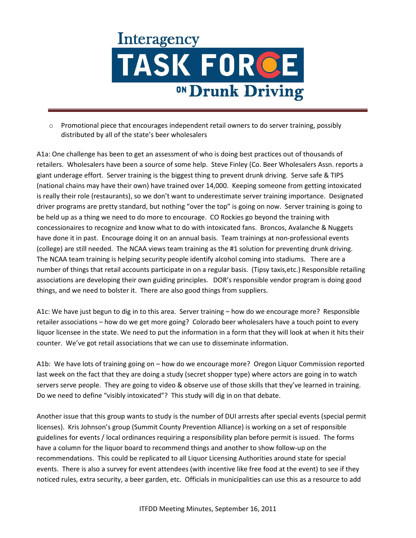

o Promotional piece that encourages independent retail owners to do server training, possibly distributed by all of the state's beer wholesalers

A1a: One challenge has been to get an assessment of who is doing best practices out of thousands of retailers. Wholesalers have been a source of some help. Steve Finley (Co. Beer Wholesalers Assn. reports a giant underage effort. Server training is the biggest thing to prevent drunk driving. Serve safe & TIPS (national chains may have their own) have trained over 14,000. Keeping someone from getting intoxicated is really their role (restaurants), so we don't want to underestimate server training importance. Designated driver programs are pretty standard, but nothing "over the top" is going on now. Server training is going to be held up as a thing we need to do more to encourage. CO Rockies go beyond the training with concessionaires to recognize and know what to do with intoxicated fans. Broncos, Avalanche & Nuggets have done it in past. Encourage doing it on an annual basis. Team trainings at non-professional events (college) are still needed. The NCAA views team training as the #1 solution for preventing drunk driving. The NCAA team training is helping security people identify alcohol coming into stadiums. There are a number of things that retail accounts participate in on a regular basis. (Tipsy taxis,etc.) Responsible retailing associations are developing their own guiding principles. DOR's responsible vendor program is doing good things, and we need to bolster it. There are also good things from suppliers.

A1c: We have just begun to dig in to this area. Server training – how do we encourage more? Responsible retailer associations – how do we get more going? Colorado beer wholesalers have a touch point to every liquor licensee in the state. We need to put the information in a form that they will look at when it hits their counter. We've got retail associations that we can use to disseminate information.

A1b: We have lots of training going on – how do we encourage more? Oregon Liquor Commission reported last week on the fact that they are doing a study (secret shopper type) where actors are going in to watch servers serve people. They are going to video & observe use of those skills that they've learned in training. Do we need to define "visibly intoxicated"? This study will dig in on that debate.

Another issue that this group wants to study is the number of DUI arrests after special events (special permit licenses). Kris Johnson's group (Summit County Prevention Alliance) is working on a set of responsible guidelines for events / local ordinances requiring a responsibility plan before permit is issued. The forms have a column for the liquor board to recommend things and another to show follow-up on the recommendations. This could be replicated to all Liquor Licensing Authorities around state for special events. There is also a survey for event attendees (with incentive like free food at the event) to see if they noticed rules, extra security, a beer garden, etc. Officials in municipalities can use this as a resource to add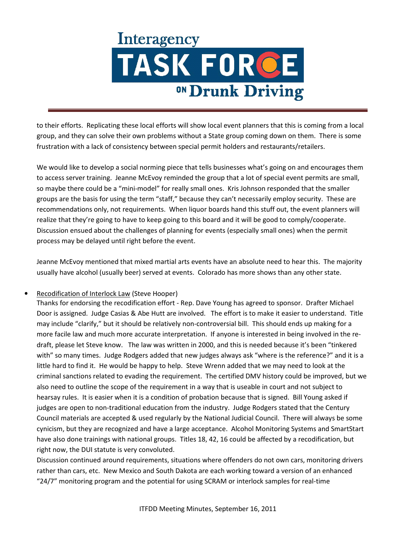to their efforts. Replicating these local efforts will show local event planners that this is coming from a local group, and they can solve their own problems without a State group coming down on them. There is some frustration with a lack of consistency between special permit holders and restaurants/retailers.

We would like to develop a social norming piece that tells businesses what's going on and encourages them to access server training. Jeanne McEvoy reminded the group that a lot of special event permits are small, so maybe there could be a "mini-model" for really small ones. Kris Johnson responded that the smaller groups are the basis for using the term "staff," because they can't necessarily employ security. These are recommendations only, not requirements. When liquor boards hand this stuff out, the event planners will realize that they're going to have to keep going to this board and it will be good to comply/cooperate. Discussion ensued about the challenges of planning for events (especially small ones) when the permit process may be delayed until right before the event.

Jeanne McEvoy mentioned that mixed martial arts events have an absolute need to hear this. The majority usually have alcohol (usually beer) served at events. Colorado has more shows than any other state.

### • Recodification of Interlock Law (Steve Hooper)

Thanks for endorsing the recodification effort - Rep. Dave Young has agreed to sponsor. Drafter Michael Door is assigned. Judge Casias & Abe Hutt are involved. The effort is to make it easier to understand. Title may include "clarify," but it should be relatively non-controversial bill. This should ends up making for a more facile law and much more accurate interpretation. If anyone is interested in being involved in the redraft, please let Steve know. The law was written in 2000, and this is needed because it's been "tinkered with" so many times. Judge Rodgers added that new judges always ask "where is the reference?" and it is a little hard to find it. He would be happy to help. Steve Wrenn added that we may need to look at the criminal sanctions related to evading the requirement. The certified DMV history could be improved, but we also need to outline the scope of the requirement in a way that is useable in court and not subject to hearsay rules. It is easier when it is a condition of probation because that is signed. Bill Young asked if judges are open to non-traditional education from the industry. Judge Rodgers stated that the Century Council materials are accepted & used regularly by the National Judicial Council. There will always be some cynicism, but they are recognized and have a large acceptance. Alcohol Monitoring Systems and SmartStart have also done trainings with national groups. Titles 18, 42, 16 could be affected by a recodification, but right now, the DUI statute is very convoluted.

Discussion continued around requirements, situations where offenders do not own cars, monitoring drivers rather than cars, etc. New Mexico and South Dakota are each working toward a version of an enhanced "24/7" monitoring program and the potential for using SCRAM or interlock samples for real-time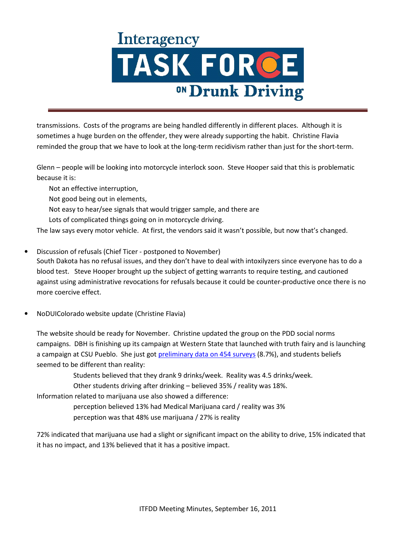transmissions. Costs of the programs are being handled differently in different places. Although it is sometimes a huge burden on the offender, they were already supporting the habit. Christine Flavia reminded the group that we have to look at the long-term recidivism rather than just for the short-term.

Glenn – people will be looking into motorcycle interlock soon. Steve Hooper said that this is problematic because it is:

 Not an effective interruption, Not good being out in elements, Not easy to hear/see signals that would trigger sample, and there are Lots of complicated things going on in motorcycle driving.

The law says every motor vehicle. At first, the vendors said it wasn't possible, but now that's changed.

- Discussion of refusals (Chief Ticer postponed to November) South Dakota has no refusal issues, and they don't have to deal with intoxilyzers since everyone has to do a blood test. Steve Hooper brought up the subject of getting warrants to require testing, and cautioned against using administrative revocations for refusals because it could be counter-productive once there is no more coercive effect.
- NoDUIColorado website update (Christine Flavia)

The website should be ready for November. Christine updated the group on the PDD social norms campaigns. DBH is finishing up its campaign at Western State that launched with truth fairy and is launching a campaign at CSU Pueblo. She just got [preliminary data on 454 surveys](http://www.coloradodot.info/programs/alcohol-and-impaired-driving/task-force-documents/2011-documents/Corona%20Insights%20CSU%20Pueblo%20Report%20for%20PDD%202011%2010%2015.pdf) (8.7%), and students beliefs seemed to be different than reality:

Students believed that they drank 9 drinks/week. Reality was 4.5 drinks/week.

Other students driving after drinking – believed 35% / reality was 18%.

Information related to marijuana use also showed a difference:

perception believed 13% had Medical Marijuana card / reality was 3%

perception was that 48% use marijuana / 27% is reality

72% indicated that marijuana use had a slight or significant impact on the ability to drive, 15% indicated that it has no impact, and 13% believed that it has a positive impact.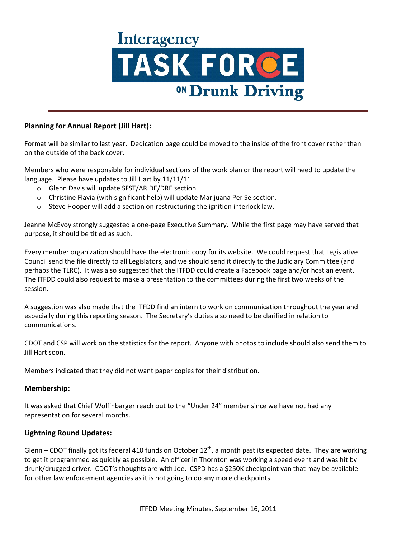

### **Planning for Annual Report (Jill Hart):**

Format will be similar to last year. Dedication page could be moved to the inside of the front cover rather than on the outside of the back cover.

Members who were responsible for individual sections of the work plan or the report will need to update the language. Please have updates to Jill Hart by 11/11/11.

- o Glenn Davis will update SFST/ARIDE/DRE section.
- o Christine Flavia (with significant help) will update Marijuana Per Se section.
- $\circ$  Steve Hooper will add a section on restructuring the ignition interlock law.

Jeanne McEvoy strongly suggested a one-page Executive Summary. While the first page may have served that purpose, it should be titled as such.

Every member organization should have the electronic copy for its website. We could request that Legislative Council send the file directly to all Legislators, and we should send it directly to the Judiciary Committee (and perhaps the TLRC). It was also suggested that the ITFDD could create a Facebook page and/or host an event. The ITFDD could also request to make a presentation to the committees during the first two weeks of the session.

A suggestion was also made that the ITFDD find an intern to work on communication throughout the year and especially during this reporting season. The Secretary's duties also need to be clarified in relation to communications.

CDOT and CSP will work on the statistics for the report. Anyone with photos to include should also send them to Jill Hart soon.

Members indicated that they did not want paper copies for their distribution.

#### **Membership:**

It was asked that Chief Wolfinbarger reach out to the "Under 24" member since we have not had any representation for several months.

#### **Lightning Round Updates:**

Glenn – CDOT finally got its federal 410 funds on October  $12^{th}$ , a month past its expected date. They are working to get it programmed as quickly as possible. An officer in Thornton was working a speed event and was hit by drunk/drugged driver. CDOT's thoughts are with Joe. CSPD has a \$250K checkpoint van that may be available for other law enforcement agencies as it is not going to do any more checkpoints.